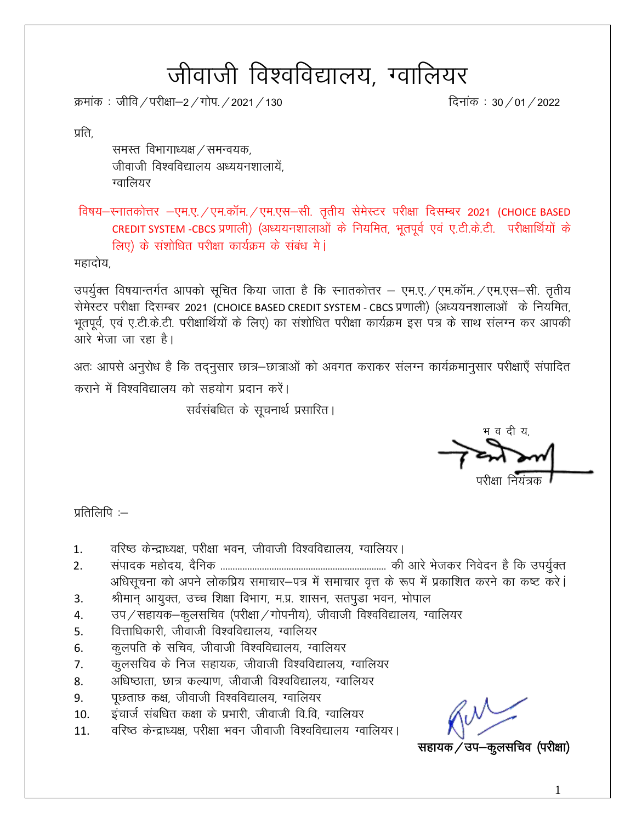# जीवाजी विश्वविद्यालय, ग्वालियर

क्रमांक : जीवि / परीक्षा–2 / गोप. / 2021 / 130  $\frac{1}{\sqrt{2}}$  subsetsion of  $\frac{1}{\sqrt{2}}$  and  $\frac{1}{2}$  and  $\frac{1}{2}$  and  $\frac{1}{2}$  and  $\frac{1}{2}$  and  $\frac{1}{2}$  and  $\frac{1}{2}$  and  $\frac{1}{2}$  and  $\frac{1}{2}$  and  $\frac{1}{2}$  and  $\frac$ 

प्रति.

समस्त विभागाध्यक्ष / समन्वयक, जीवाजी विश्वविद्यालय अध्ययनशालायें. ग्वालियर

विषय-स्नातकोत्तर -एम.ए./एम.कॉम./एम.एस-सी. तृतीय सेमेस्टर परीक्षा दिसम्बर 2021 (CHOICE BASED CREDIT SYSTEM -CBCS प्रणाली) (अध्ययनशालाओं के नियमित, भूतपूर्व एवं ए.टी.के.टी. परीक्षार्थियों के लिए) के संशोधित परीक्षा कार्यक्रम के संबंध मे**ं** 

महादोय,

उपर्यूक्त विषयान्तर्गत आपको सूचित किया जाता है कि स्नातकोत्तर – एम.ए. /एम.कॉम. /एम.एस-सी. तृतीय सेमेस्टर परीक्षा दिसम्बर 2021 (CHOICE BASED CREDIT SYSTEM - CBCS प्रणाली) (अध्ययनशालाओं) के नियमित, भुतपूर्व, एवं ए.टी.के.टी. परीक्षार्थियों के लिए) का संशोधित परीक्षा कार्यक्रम इस पत्र के साथ संलग्न कर आपकी आरे भेजा जा रहा है।

अतः आपसे अनुरोध है कि तद्नुसार छात्र-छात्राओं को अवगत कराकर संलग्न कार्यक्रमानुसार परीक्षाएँ संपादित कराने में विश्वविद्यालय को सहयोग प्रदान करें।

सर्वसंबधित के सूचनार्थ प्रसारित।

भ व दी य,

परीक्षा नियंत्रक

प्रतिलिपि $:=$ 

- 1. वरिष्ठ केन्द्राध्यक्ष, परीक्षा भवन, जीवाजी विश्वविद्यालय, ग्वालियर।
- 2. laiknd egksn;] n Sfud -------------------------------------------------------------------- dh vkjs Hkstdj fuosnu gS fd mi;q ZDr अधिसूचना को अपने लोकप्रिय समाचार-पत्र में समाचार वृत्त के रूप में प्रकाशित करने का कष्ट करे।
- 3. श्रीमान् आयुक्त, उच्च शिक्षा विभाग, म.प्र. शासन, सतपूडा भवन, भोपाल
- 4. जप/सहायक–कूलसचिव (परीक्षा/गोपनीय), जीवाजी विश्वविद्यालय, ग्वालियर
- 5. वित्ताधिकारी, जीवाजी विश्वविद्यालय, ग्वालियर
- 6. व्हलपति के सचिव, जीवाजी विश्वविद्यालय, ग्वालियर
- 7. व्यूलसचिव के निज सहायक, जीवाजी विश्वविद्यालय, ग्वालियर
- 8. अधिष्ठाता, छात्र कल्याण, जीवाजी विश्वविद्यालय, ग्वालियर
- 9. पृछताछ कक्ष, जीवाजी विश्वविद्यालय, ग्वालियर
- 10. व्हंचार्ज संबधित कक्षा के प्रभारी, जीवाजी वि.वि, ग्वालियर
- 11. वरिष्ठ केन्द्राध्यक्ष, परीक्षा भवन जीवाजी विश्वविद्यालय ग्वालियर।

सहायक / उप–कूलसचिव (परीक्षा)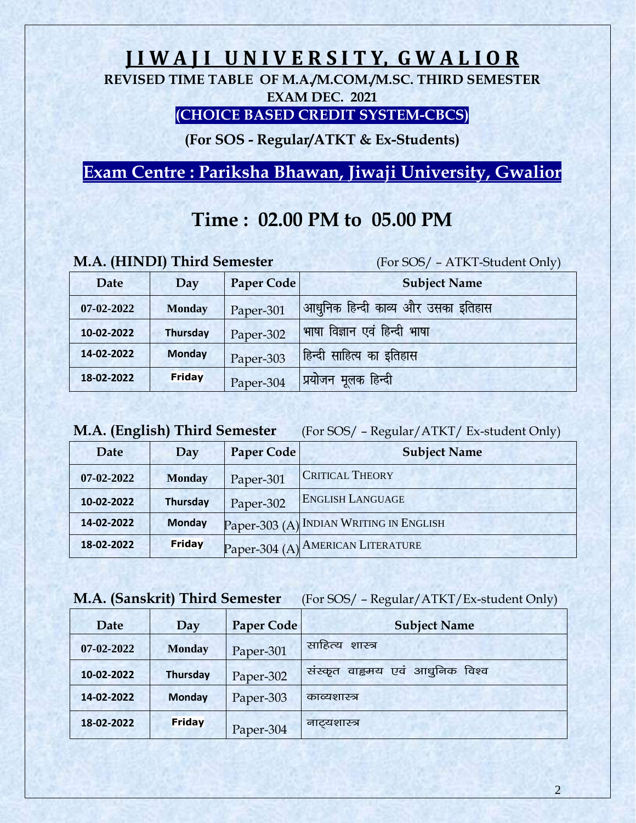## **J I W A J I U N I V E R S I T Y, G W A L I O R**

**REVISED TIME TABLE OF M.A./M.COM./M.SC. THIRD SEMESTER EXAM DEC. 2021**

#### **(CHOICE BASED CREDIT SYSTEM-CBCS)**

**(For SOS - Regular/ATKT & Ex-Students)**

**Exam Centre : Pariksha Bhawan, Jiwaji University, Gwalior**

## **Time : 02.00 PM to 05.00 PM**

|  |  |  | M.A. (HINDI) Third Semester |
|--|--|--|-----------------------------|
|--|--|--|-----------------------------|

(For SOS/ – ATKT-Student Only)

| Date       | Day             | <b>Paper Code</b> | <b>Subject Name</b>                |
|------------|-----------------|-------------------|------------------------------------|
| 07-02-2022 | <b>Monday</b>   | Paper-301         | आधुनिक हिन्दी काव्य और उसका इतिहास |
| 10-02-2022 | <b>Thursday</b> | Paper-302         | भाषा विज्ञान एवं हिन्दी भाषा       |
| 14-02-2022 | <b>Monday</b>   | Paper-303         | हिन्दी साहित्य का इतिहास           |
| 18-02-2022 | Friday          | Paper-304         | <u>'</u> प्रयोजन मूलक हिन्दी       |

| M.A. (English) Third Semester |  |
|-------------------------------|--|
|-------------------------------|--|

(For SOS/ – Regular/ATKT/ Ex-student Only)

| Date             | Day             | <b>Paper Code</b> | <b>Subject Name</b>                     |
|------------------|-----------------|-------------------|-----------------------------------------|
| $07 - 02 - 2022$ | <b>Monday</b>   | Paper-301         | <b>CRITICAL THEORY</b>                  |
| 10-02-2022       | <b>Thursday</b> | Paper-302         | <b>ENGLISH LANGUAGE</b>                 |
| 14-02-2022       | <b>Monday</b>   |                   | Paper-303 (A) INDIAN WRITING IN ENGLISH |
| 18-02-2022       | Friday          |                   | Paper-304 (A) AMERICAN LITERATURE       |

#### **M.A. (Sanskrit) Third Semester** (For SOS/ – Regular/ATKT/Ex-student Only)

| Date       | Day           | Paper Code | <b>Subject Name</b>                |
|------------|---------------|------------|------------------------------------|
| 07-02-2022 | <b>Monday</b> | Paper-301  | साहित्य<br>शास्त्र                 |
| 10-02-2022 | Thursday      | Paper-302  | वाह्रमय एवं आधुनिक विश्व<br>सस्कृत |
| 14-02-2022 | <b>Monday</b> | Paper-303  | काव्यशास्त्र                       |
| 18-02-2022 | Friday        | Paper-304  | नाटयशास्त्र                        |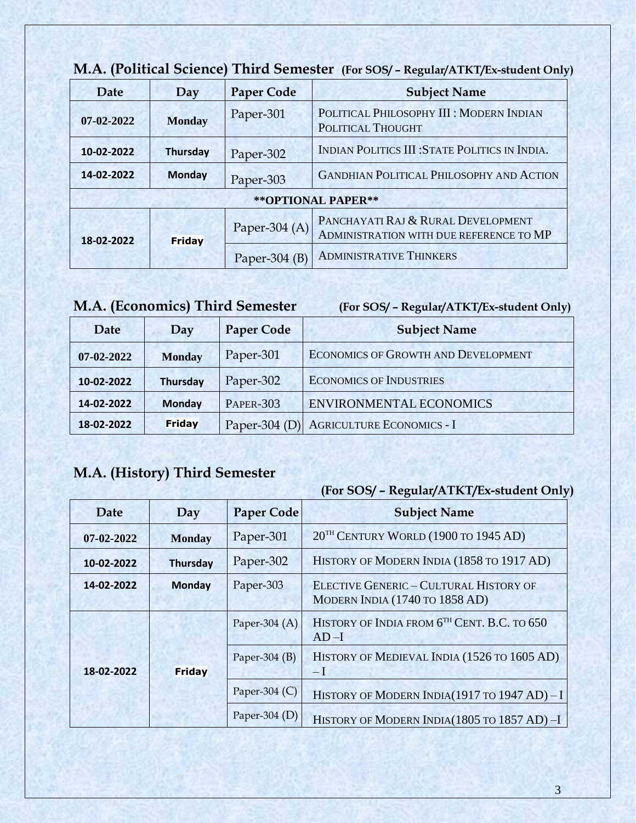| Date                | Day             | <b>Paper Code</b> | <b>Subject Name</b>                                                           |
|---------------------|-----------------|-------------------|-------------------------------------------------------------------------------|
| 07-02-2022          | <b>Monday</b>   | Paper-301         | POLITICAL PHILOSOPHY III : MODERN INDIAN<br>POLITICAL THOUGHT                 |
| 10-02-2022          | <b>Thursday</b> | Paper-302         | INDIAN POLITICS III: STATE POLITICS IN INDIA.                                 |
| 14-02-2022          | <b>Monday</b>   | Paper-303         | <b>GANDHIAN POLITICAL PHILOSOPHY AND ACTION</b>                               |
| ** OPTIONAL PAPER** |                 |                   |                                                                               |
| 18-02-2022          | Friday          | Paper-304 (A)     | PANCHAYATI RAJ & RURAL DEVELOPMENT<br>ADMINISTRATION WITH DUE REFERENCE TO MP |
|                     |                 | Paper-304 $(B)$   | <b>ADMINISTRATIVE THINKERS</b>                                                |

## **M.A. (Political Science) Third Semester (For SOS/ – Regular/ATKT/Ex-student Only)**

## **M.A. (Economics) Third Semester (For SOS/ – Regular/ATKT/Ex-student Only)**

| Date             | Day             | <b>Paper Code</b> | <b>Subject Name</b>                        |
|------------------|-----------------|-------------------|--------------------------------------------|
| $07 - 02 - 2022$ | <b>Monday</b>   | Paper-301         | <b>ECONOMICS OF GROWTH AND DEVELOPMENT</b> |
| 10-02-2022       | <b>Thursday</b> | Paper-302         | <b>ECONOMICS OF INDUSTRIES</b>             |
| 14-02-2022       | <b>Monday</b>   | <b>PAPER-303</b>  | ENVIRONMENTAL ECONOMICS                    |
| 18-02-2022       | <b>Friday</b>   | Paper-304 $(D)$   | <b>AGRICULTURE ECONOMICS - I</b>           |

## **M.A. (History) Third Semester**

| Date             | Day           | <b>Paper Code</b> | <b>Subject Name</b>                                                             |
|------------------|---------------|-------------------|---------------------------------------------------------------------------------|
| $07 - 02 - 2022$ | <b>Monday</b> | Paper-301         | 20 <sup>TH</sup> CENTURY WORLD (1900 TO 1945 AD)                                |
| 10-02-2022       | Thursday      | Paper-302         | HISTORY OF MODERN INDIA (1858 TO 1917 AD)                                       |
| 14-02-2022       | <b>Monday</b> | Paper-303         | <b>ELECTIVE GENERIC - CULTURAL HISTORY OF</b><br>MODERN INDIA (1740 TO 1858 AD) |
|                  |               | Paper-304 $(A)$   | HISTORY OF INDIA FROM 6 <sup>TH</sup> CENT. B.C. TO 650<br>$AD-I$               |
| 18-02-2022       | Friday        | Paper-304 $(B)$   | HISTORY OF MEDIEVAL INDIA (1526 TO 1605 AD)<br>$-I$                             |
|                  |               | Paper-304 $(C)$   | HISTORY OF MODERN INDIA(1917 TO 1947 AD) - I                                    |
|                  |               | Paper-304 $(D)$   | HISTORY OF MODERN INDIA(1805 TO 1857 AD)-I                                      |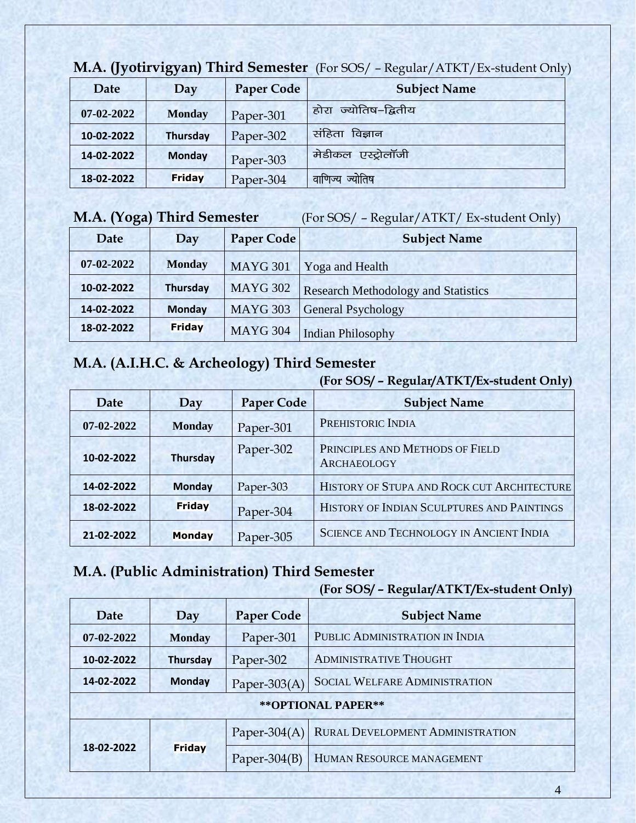| Date             | Day             | <b>Paper Code</b> | <b>Subject Name</b>     |
|------------------|-----------------|-------------------|-------------------------|
| $07 - 02 - 2022$ | <b>Monday</b>   | Paper-301         | ज्योतिष–द्वितीय<br>होरा |
| 10-02-2022       | <b>Thursday</b> | Paper-302         | संहिता<br>विज्ञान       |
| 14-02-2022       | <b>Monday</b>   | Paper-303         | एस्ट्रोलॉजी<br>मेडीकल   |
| 18-02-2022       | Friday          | Paper-304         | ज्योतिष<br>वाणिज्य      |

**M.A. (Jyotirvigyan) Third Semester** (For SOS/ – Regular/ATKT/Ex-student Only)

#### **M.A. (Yoga) Third Semester** (For SOS/ – Regular/ATKT/ Ex-student Only)

| Date       | Day             | Paper Code      | <b>Subject Name</b>                        |
|------------|-----------------|-----------------|--------------------------------------------|
| 07-02-2022 | <b>Monday</b>   | <b>MAYG 301</b> | Yoga and Health                            |
| 10-02-2022 | <b>Thursday</b> | <b>MAYG 302</b> | <b>Research Methodology and Statistics</b> |
| 14-02-2022 | <b>Monday</b>   | <b>MAYG 303</b> | <b>General Psychology</b>                  |
| 18-02-2022 | <b>Friday</b>   | <b>MAYG 304</b> | <b>Indian Philosophy</b>                   |

## **M.A. (A.I.H.C. & Archeology) Third Semester**

#### **(For SOS/ – Regular/ATKT/Ex-student Only)**

|                  |                 |                   | $\epsilon$<br>J 1                                     |
|------------------|-----------------|-------------------|-------------------------------------------------------|
| Date             | Day             | <b>Paper Code</b> | <b>Subject Name</b>                                   |
| $07 - 02 - 2022$ | <b>Monday</b>   | Paper-301         | PREHISTORIC INDIA                                     |
| 10-02-2022       | <b>Thursday</b> | Paper-302         | PRINCIPLES AND METHODS OF FIELD<br><b>ARCHAEOLOGY</b> |
| 14-02-2022       | <b>Monday</b>   | Paper-303         | HISTORY OF STUPA AND ROCK CUT ARCHITECTURE            |
| 18-02-2022       | Friday          | Paper-304         | HISTORY OF INDIAN SCULPTURES AND PAINTINGS            |
| 21-02-2022       | <b>Monday</b>   | Paper-305         | <b>SCIENCE AND TECHNOLOGY IN ANCIENT INDIA</b>        |

#### **M.A. (Public Administration) Third Semester**

|                     |                 |                   | (For SOS/ - Regular/ATKT/Ex-student Only) |
|---------------------|-----------------|-------------------|-------------------------------------------|
| Date                | Day             | <b>Paper Code</b> | <b>Subject Name</b>                       |
| $07 - 02 - 2022$    | <b>Monday</b>   | Paper-301         | PUBLIC ADMINISTRATION IN INDIA            |
| 10-02-2022          | <b>Thursday</b> | Paper-302         | <b>ADMINISTRATIVE THOUGHT</b>             |
| 14-02-2022          | <b>Monday</b>   | Paper-303 $(A)$   | <b>SOCIAL WELFARE ADMINISTRATION</b>      |
| ** OPTIONAL PAPER** |                 |                   |                                           |
| 18-02-2022          |                 | Paper-304 $(A)$   | RURAL DEVELOPMENT ADMINISTRATION          |
|                     | Friday          | Paper-304 $(B)$   | HUMAN RESOURCE MANAGEMENT                 |
|                     |                 |                   |                                           |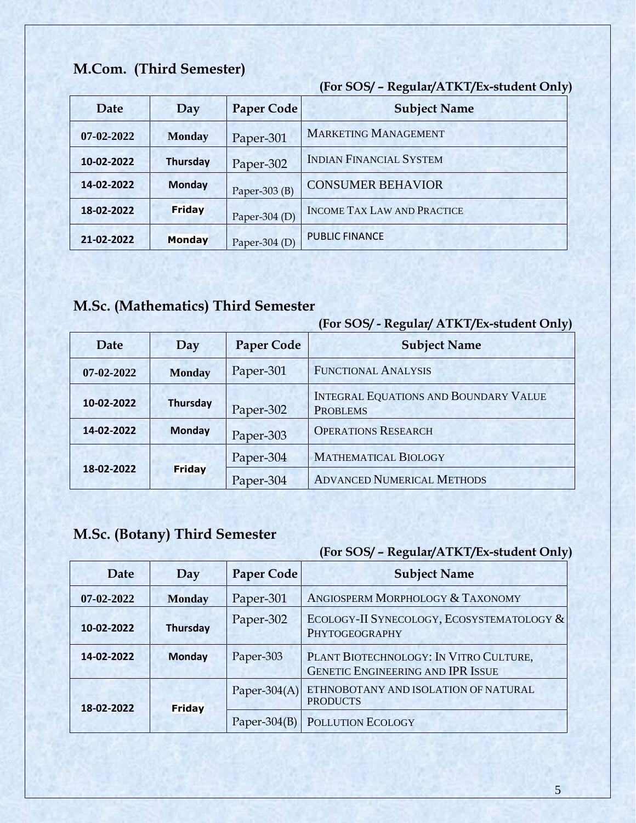## **M.Com. (Third Semester)**

**(For SOS/ – Regular/ATKT/Ex-student Only)** 

| Date       | Day             | <b>Paper Code</b> | <b>Subject Name</b>                |
|------------|-----------------|-------------------|------------------------------------|
| 07-02-2022 | <b>Monday</b>   | Paper-301         | <b>MARKETING MANAGEMENT</b>        |
| 10-02-2022 | <b>Thursday</b> | Paper-302         | <b>INDIAN FINANCIAL SYSTEM</b>     |
| 14-02-2022 | <b>Monday</b>   | Paper-303 $(B)$   | <b>CONSUMER BEHAVIOR</b>           |
| 18-02-2022 | Friday          | Paper-304 $(D)$   | <b>INCOME TAX LAW AND PRACTICE</b> |
| 21-02-2022 | <b>Monday</b>   | Paper-304 $(D)$   | <b>PUBLIC FINANCE</b>              |

## **M.Sc. (Mathematics) Third Semester**

#### **(For SOS/ - Regular/ ATKT/Ex-student Only)**

| Date       | Day             | <b>Paper Code</b> | - 77<br><b>Subject Name</b>                                     |
|------------|-----------------|-------------------|-----------------------------------------------------------------|
| 07-02-2022 | <b>Monday</b>   | Paper-301         | <b>FUNCTIONAL ANALYSIS</b>                                      |
| 10-02-2022 | <b>Thursday</b> | Paper-302         | <b>INTEGRAL EQUATIONS AND BOUNDARY VALUE</b><br><b>PROBLEMS</b> |
| 14-02-2022 | <b>Monday</b>   | Paper-303         | <b>OPERATIONS RESEARCH</b>                                      |
| 18-02-2022 |                 | Paper-304         | <b>MATHEMATICAL BIOLOGY</b>                                     |
|            | <b>Friday</b>   | Paper-304         | <b>ADVANCED NUMERICAL METHODS</b>                               |

## **M.Sc. (Botany) Third Semester**

| <b>Date</b> | Day             | <b>Paper Code</b> | <b>Subject Name</b>                                                                |
|-------------|-----------------|-------------------|------------------------------------------------------------------------------------|
| 07-02-2022  | <b>Monday</b>   | Paper-301         | ANGIOSPERM MORPHOLOGY & TAXONOMY                                                   |
| 10-02-2022  | <b>Thursday</b> | Paper-302         | ECOLOGY-II SYNECOLOGY, ECOSYSTEMATOLOGY &<br>PHYTOGEOGRAPHY                        |
| 14-02-2022  | <b>Monday</b>   | Paper-303         | PLANT BIOTECHNOLOGY: IN VITRO CULTURE,<br><b>GENETIC ENGINEERING AND IPR ISSUE</b> |
| 18-02-2022  | Friday          | Paper-304 $(A)$   | ETHNOBOTANY AND ISOLATION OF NATURAL<br><b>PRODUCTS</b>                            |
|             |                 | Paper- $304(B)$   | POLLUTION ECOLOGY                                                                  |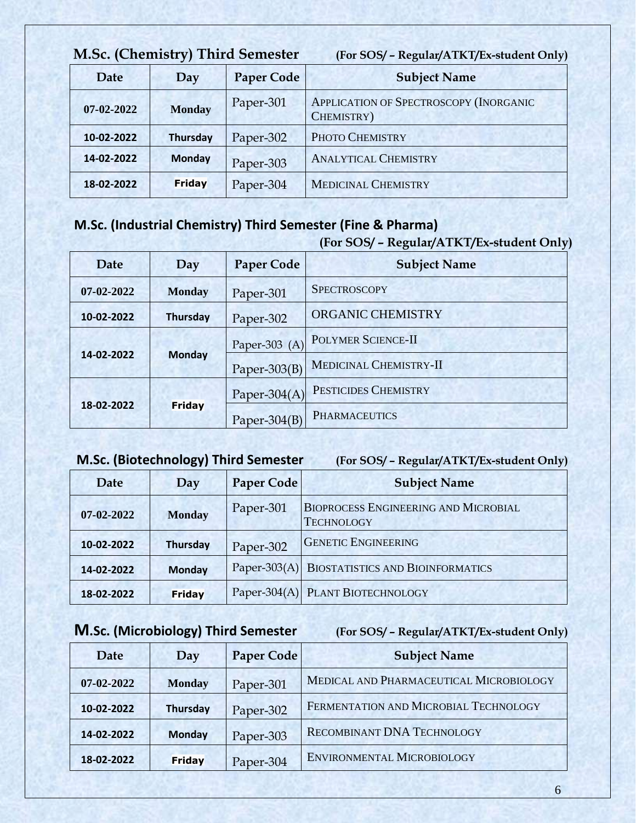| M.Sc. (Chemistry) Third Semester |                 |                   | (For SOS/ - Regular/ATKT/Ex-student Only)            |
|----------------------------------|-----------------|-------------------|------------------------------------------------------|
| Date                             | Day             | <b>Paper Code</b> | <b>Subject Name</b>                                  |
| 07-02-2022                       | <b>Monday</b>   | Paper-301         | APPLICATION OF SPECTROSCOPY (INORGANIC<br>CHEMISTRY) |
| 10-02-2022                       | <b>Thursday</b> | Paper-302         | PHOTO CHEMISTRY                                      |
| 14-02-2022                       | <b>Monday</b>   | Paper-303         | <b>ANALYTICAL CHEMISTRY</b>                          |
| 18-02-2022                       | Friday          | Paper-304         | <b>MEDICINAL CHEMISTRY</b>                           |

## **M.Sc. (Industrial Chemistry) Third Semester (Fine & Pharma)**

#### **(For SOS/ – Regular/ATKT/Ex-student Only)**

| Date       | Day             | <b>Paper Code</b> | <b>Subject Name</b>       |
|------------|-----------------|-------------------|---------------------------|
| 07-02-2022 | <b>Monday</b>   | Paper-301         | <b>SPECTROSCOPY</b>       |
| 10-02-2022 | <b>Thursday</b> | Paper-302         | ORGANIC CHEMISTRY         |
| 14-02-2022 | <b>Monday</b>   | Paper-303 $(A)$   | <b>POLYMER SCIENCE-II</b> |
|            |                 | Paper- $303(B)$   | MEDICINAL CHEMISTRY-II    |
| 18-02-2022 | Friday          | Paper-304 $(A)$   | PESTICIDES CHEMISTRY      |
|            |                 | Paper-304 $(B)$   | <b>PHARMACEUTICS</b>      |

## **M.Sc. (Biotechnology) Third Semester (For SOS/ – Regular/ATKT/Ex-student Only)**

| Date             | Day             | <b>Paper Code</b> | <b>Subject Name</b>                                              |
|------------------|-----------------|-------------------|------------------------------------------------------------------|
| $07 - 02 - 2022$ | <b>Monday</b>   | Paper-301         | <b>BIOPROCESS ENGINEERING AND MICROBIAL</b><br><b>TECHNOLOGY</b> |
| 10-02-2022       | <b>Thursday</b> | Paper-302         | <b>GENETIC ENGINEERING</b>                                       |
| 14-02-2022       | <b>Monday</b>   |                   | Paper-303(A) BIOSTATISTICS AND BIOINFORMATICS                    |
| 18-02-2022       | Friday          |                   | Paper-304(A) PLANT BIOTECHNOLOGY                                 |

## **M.Sc. (Microbiology) Third Semester (For SOS/ – Regular/ATKT/Ex-student Only)**

| Date       | Day             | <b>Paper Code</b> | <b>Subject Name</b>                     |
|------------|-----------------|-------------------|-----------------------------------------|
| 07-02-2022 | <b>Monday</b>   | Paper-301         | MEDICAL AND PHARMACEUTICAL MICROBIOLOGY |
| 10-02-2022 | <b>Thursday</b> | Paper-302         | FERMENTATION AND MICROBIAL TECHNOLOGY   |
| 14-02-2022 | <b>Monday</b>   | Paper-303         | <b>RECOMBINANT DNA TECHNOLOGY</b>       |
| 18-02-2022 | Friday          | Paper-304         | ENVIRONMENTAL MICROBIOLOGY              |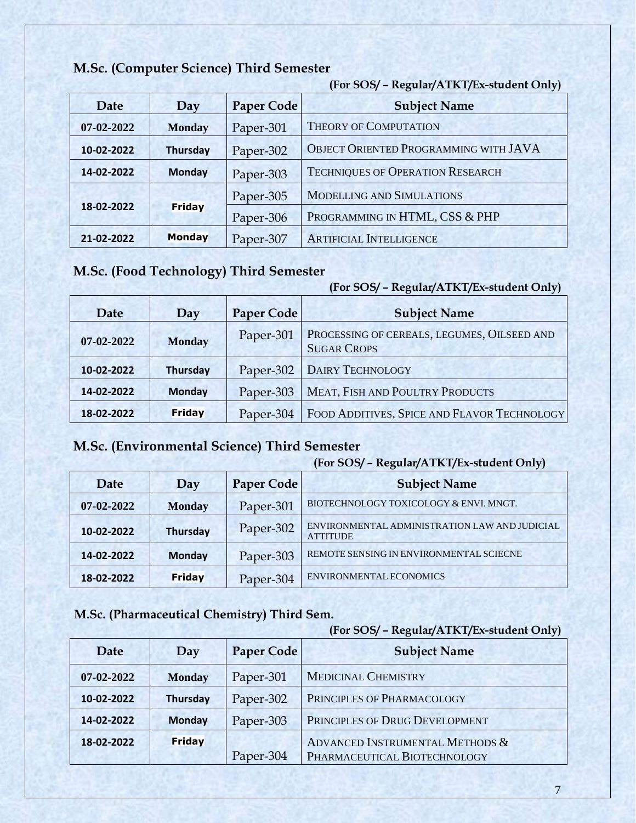|            |                 |                   | (For SOS/ - Regular/ATKT/Ex-student Only) |
|------------|-----------------|-------------------|-------------------------------------------|
| Date       | Day             | <b>Paper Code</b> | <b>Subject Name</b>                       |
| 07-02-2022 | <b>Monday</b>   | Paper-301         | <b>THEORY OF COMPUTATION</b>              |
| 10-02-2022 | <b>Thursday</b> | Paper-302         | OBJECT ORIENTED PROGRAMMING WITH JAVA     |
| 14-02-2022 | <b>Monday</b>   | Paper-303         | <b>TECHNIQUES OF OPERATION RESEARCH</b>   |
| 18-02-2022 | <b>Friday</b>   | Paper-305         | <b>MODELLING AND SIMULATIONS</b>          |
|            |                 | Paper-306         | PROGRAMMING IN HTML, CSS & PHP            |
| 21-02-2022 | Monday          | Paper-307         | <b>ARTIFICIAL INTELLIGENCE</b>            |

#### **M.Sc. (Computer Science) Third Semester**

#### **M.Sc. (Food Technology) Third Semester**

## **(For SOS/ – Regular/ATKT/Ex-student Only)**  Date Day Paper Code Subject Name **07-02-2022 Monday** Paper-301 PROCESSING OF CEREALS, LEGUMES, OILSEED AND SUGAR CROPS 10-02-2022 | Thursday | Paper-302 | DAIRY TECHNOLOGY **14-02-2022 | Monday Paper-303 | MEAT, FISH AND POULTRY PRODUCTS 18-02-2022 Friday Paper-304 FOOD ADDITIVES, SPICE AND FLAVOR TECHNOLOGY**

#### **M.Sc. (Environmental Science) Third Semester**

#### **(For SOS/ – Regular/ATKT/Ex-student Only)**

|            |                 |                   | <u>,</u>                                                         |
|------------|-----------------|-------------------|------------------------------------------------------------------|
| Date       | Day             | <b>Paper Code</b> | <b>Subject Name</b>                                              |
| 07-02-2022 | <b>Monday</b>   | Paper-301         | BIOTECHNOLOGY TOXICOLOGY & ENVI. MNGT.                           |
| 10-02-2022 | <b>Thursday</b> | Paper-302         | ENVIRONMENTAL ADMINISTRATION LAW AND JUDICIAL<br><b>ATTITUDE</b> |
| 14-02-2022 | <b>Monday</b>   | Paper-303         | REMOTE SENSING IN ENVIRONMENTAL SCIECNE                          |
| 18-02-2022 | Friday          | Paper-304         | ENVIRONMENTAL ECONOMICS                                          |

#### **M.Sc. (Pharmaceutical Chemistry) Third Sem.**

|                  |               |                   | JI.                             |
|------------------|---------------|-------------------|---------------------------------|
| <b>Date</b>      | Day           | <b>Paper Code</b> | <b>Subject Name</b>             |
| $07 - 02 - 2022$ | <b>Monday</b> | Paper-301         | <b>MEDICINAL CHEMISTRY</b>      |
| 10-02-2022       | Thursday      | Paper-302         | PRINCIPLES OF PHARMACOLOGY      |
| 14-02-2022       | <b>Monday</b> | Paper-303         | PRINCIPLES OF DRUG DEVELOPMENT  |
| 18-02-2022       | Friday        |                   | ADVANCED INSTRUMENTAL METHODS & |
|                  |               | Paper-304         | PHARMACEUTICAL BIOTECHNOLOGY    |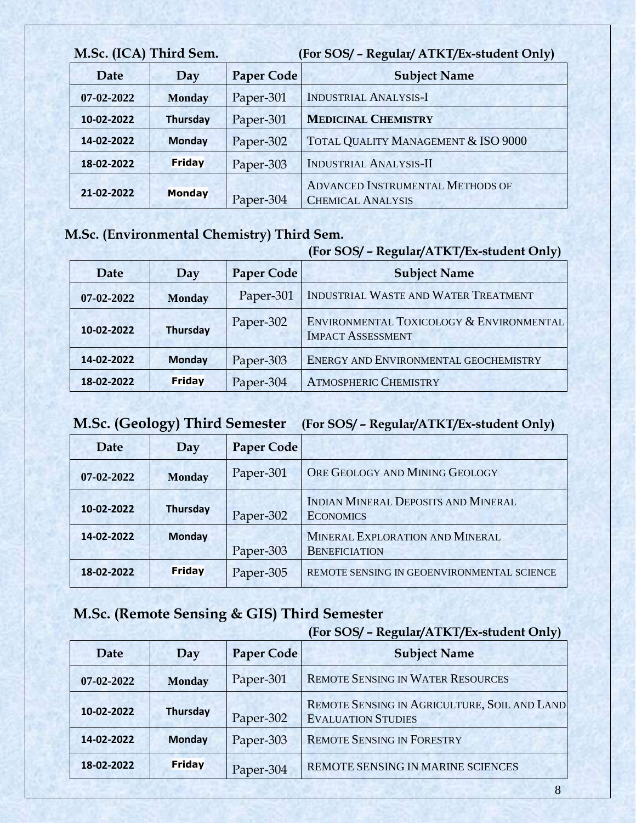| M.Sc. (ICA) Third Sem. |                 | (For SOS/ - Regular/ ATKT/Ex-student Only) |                                                                     |
|------------------------|-----------------|--------------------------------------------|---------------------------------------------------------------------|
| Date                   | Day             | <b>Paper Code</b>                          | <b>Subject Name</b>                                                 |
| 07-02-2022             | <b>Monday</b>   | Paper-301                                  | <b>INDUSTRIAL ANALYSIS-I</b>                                        |
| 10-02-2022             | <b>Thursday</b> | Paper-301                                  | <b>MEDICINAL CHEMISTRY</b>                                          |
| 14-02-2022             | <b>Monday</b>   | Paper-302                                  | TOTAL QUALITY MANAGEMENT & ISO 9000                                 |
| 18-02-2022             | Friday          | Paper-303                                  | <b>INDUSTRIAL ANALYSIS-II</b>                                       |
| 21-02-2022             | <b>Monday</b>   | Paper-304                                  | <b>ADVANCED INSTRUMENTAL METHODS OF</b><br><b>CHEMICAL ANALYSIS</b> |

#### **M.Sc. (Environmental Chemistry) Third Sem.**

## **(For SOS/ – Regular/ATKT/Ex-student Only)**

| Date             | Day             | <b>Paper Code</b> | <b>Subject Name</b>                                                  |
|------------------|-----------------|-------------------|----------------------------------------------------------------------|
| $07 - 02 - 2022$ | <b>Monday</b>   | Paper-301         | INDUSTRIAL WASTE AND WATER TREATMENT                                 |
| 10-02-2022       | <b>Thursday</b> | Paper-302         | ENVIRONMENTAL TOXICOLOGY & ENVIRONMENTAL<br><b>IMPACT ASSESSMENT</b> |
| 14-02-2022       | <b>Monday</b>   | Paper-303         | ENERGY AND ENVIRONMENTAL GEOCHEMISTRY                                |
| 18-02-2022       | <b>Friday</b>   | Paper-304         | <b>ATMOSPHERIC CHEMISTRY</b>                                         |

## **M.Sc. (Geology) Third Semester (For SOS/ – Regular/ATKT/Ex-student Only)**

| Date             | Day             | <b>Paper Code</b> |                                                         |
|------------------|-----------------|-------------------|---------------------------------------------------------|
| $07 - 02 - 2022$ | <b>Monday</b>   | Paper-301         | ORE GEOLOGY AND MINING GEOLOGY                          |
| 10-02-2022       | <b>Thursday</b> | Paper-302         | INDIAN MINERAL DEPOSITS AND MINERAL<br><b>ECONOMICS</b> |
| 14-02-2022       | <b>Monday</b>   | Paper-303         | MINERAL EXPLORATION AND MINERAL<br><b>BENEFICIATION</b> |
| 18-02-2022       | Friday          | Paper-305         | REMOTE SENSING IN GEOENVIRONMENTAL SCIENCE              |

## **M.Sc. (Remote Sensing & GIS) Third Semester**

| Date       | Day           | <b>Paper Code</b> | <b>Subject Name</b>                                                       |
|------------|---------------|-------------------|---------------------------------------------------------------------------|
| 07-02-2022 | <b>Monday</b> | Paper-301         | <b>REMOTE SENSING IN WATER RESOURCES</b>                                  |
| 10-02-2022 | Thursday      | Paper-302         | REMOTE SENSING IN AGRICULTURE, SOIL AND LAND<br><b>EVALUATION STUDIES</b> |
| 14-02-2022 | <b>Monday</b> | Paper-303         | <b>REMOTE SENSING IN FORESTRY</b>                                         |
| 18-02-2022 | Friday        | Paper-304         | REMOTE SENSING IN MARINE SCIENCES                                         |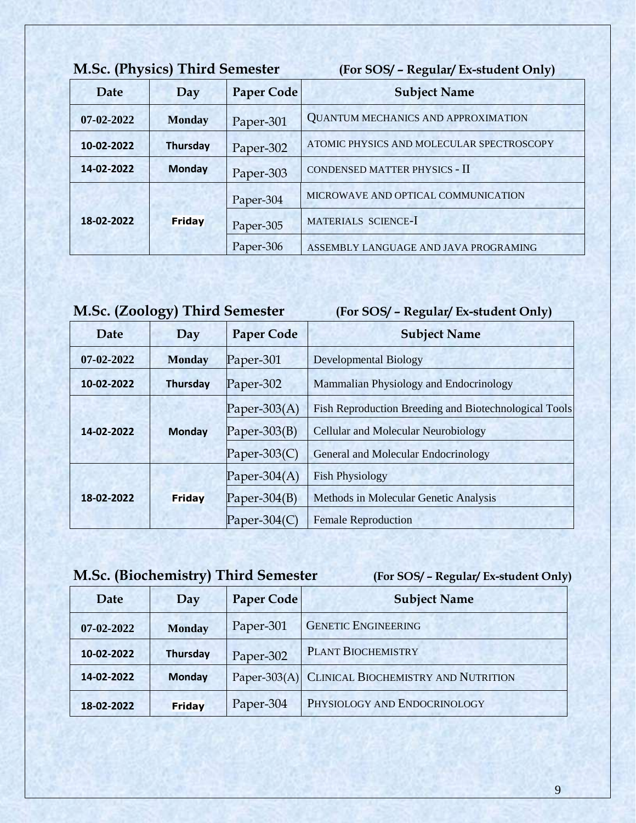| <b>M.Sc. (Physics) Third Semester</b> |                 |                                  | (For SOS/ - Regular/ Ex-student Only)      |
|---------------------------------------|-----------------|----------------------------------|--------------------------------------------|
| Date                                  | Day             | <b>Paper Code</b>                | <b>Subject Name</b>                        |
| $07 - 02 - 2022$                      | <b>Monday</b>   | Paper-301                        | <b>QUANTUM MECHANICS AND APPROXIMATION</b> |
| 10-02-2022                            | <b>Thursday</b> | Paper-302                        | ATOMIC PHYSICS AND MOLECULAR SPECTROSCOPY  |
| 14-02-2022                            | <b>Monday</b>   | Paper-303                        | CONDENSED MATTER PHYSICS - II              |
| 18-02-2022                            |                 | Paper-304                        | MICROWAVE AND OPTICAL COMMUNICATION        |
|                                       | Friday          | MATERIALS SCIENCE-I<br>Paper-305 |                                            |
|                                       |                 | Paper-306                        | ASSEMBLY LANGUAGE AND JAVA PROGRAMING      |

## **M.Sc. (Zoology) Third Semester (For SOS/ – Regular/ Ex-student Only)**

| <b>Date</b>      | Day           | <b>Paper Code</b> | <b>Subject Name</b>                                   |
|------------------|---------------|-------------------|-------------------------------------------------------|
| $07 - 02 - 2022$ | <b>Monday</b> | Paper-301         | <b>Developmental Biology</b>                          |
| 10-02-2022       | Thursday      | Paper-302         | Mammalian Physiology and Endocrinology                |
| 14-02-2022       | <b>Monday</b> | Paper-303 $(A)$   | Fish Reproduction Breeding and Biotechnological Tools |
|                  |               | Paper-303 $(B)$   | <b>Cellular and Molecular Neurobiology</b>            |
|                  |               | Paper-303 $(C)$   | General and Molecular Endocrinology                   |
| 18-02-2022       |               | Paper-304 $(A)$   | <b>Fish Physiology</b>                                |
|                  | Friday        | Paper-304 $(B)$   | Methods in Molecular Genetic Analysis                 |
|                  |               | Paper-304 $(C)$   | <b>Female Reproduction</b>                            |

## **M.Sc. (Biochemistry) Third Semester (For SOS/ – Regular/ Ex-student Only)**

| Date       | J 1<br>Day      | <b>Paper Code</b> | <b>Subject Name</b>                              |
|------------|-----------------|-------------------|--------------------------------------------------|
| 07-02-2022 | <b>Monday</b>   | Paper-301         | <b>GENETIC ENGINEERING</b>                       |
| 10-02-2022 | <b>Thursday</b> | Paper-302         | PLANT BIOCHEMISTRY                               |
| 14-02-2022 | <b>Monday</b>   |                   | Paper-303(A) CLINICAL BIOCHEMISTRY AND NUTRITION |
| 18-02-2022 | Friday          | Paper-304         | PHYSIOLOGY AND ENDOCRINOLOGY                     |